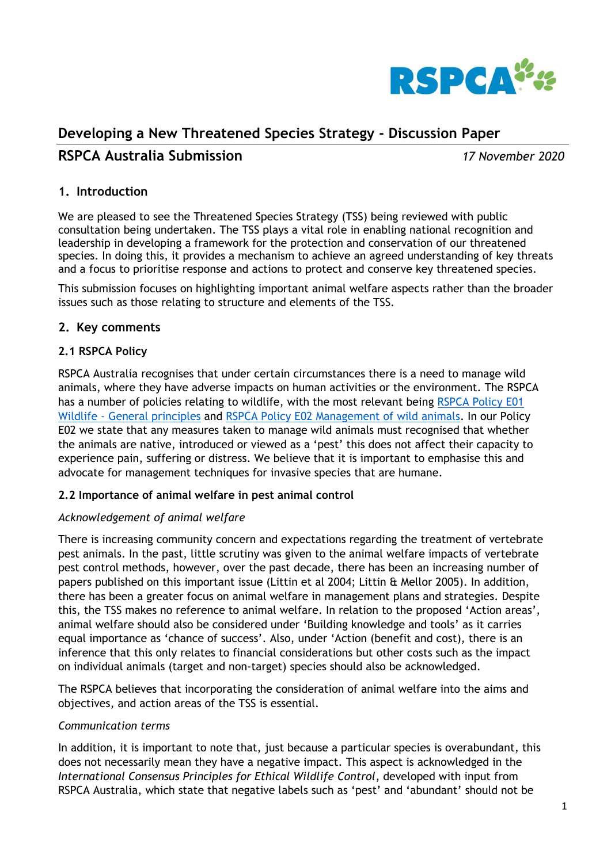

# **Developing a New Threatened Species Strategy - Discussion Paper**

# **RSPCA Australia Submission** *17 November 2020*

### **1. Introduction**

We are pleased to see the Threatened Species Strategy (TSS) being reviewed with public consultation being undertaken. The TSS plays a vital role in enabling national recognition and leadership in developing a framework for the protection and conservation of our threatened species. In doing this, it provides a mechanism to achieve an agreed understanding of key threats and a focus to prioritise response and actions to protect and conserve key threatened species.

This submission focuses on highlighting important animal welfare aspects rather than the broader issues such as those relating to structure and elements of the TSS.

### **2. Key comments**

### **2.1 RSPCA Policy**

RSPCA Australia recognises that under certain circumstances there is a need to manage wild animals, where they have adverse impacts on human activities or the environment. The RSPCA has a number of policies relating to wildlife, with the most relevant being [RSPCA Policy E01](https://kb.rspca.org.au/rspca-policy-e01-wildlife-general-principles_421.html)  Wildlife - [General principles](https://kb.rspca.org.au/rspca-policy-e01-wildlife-general-principles_421.html) and RSPCA Policy E02 [Management of wild animals.](https://kb.rspca.org.au/rspca-policy-e02-management-of-wild-animals_422.html) In our Policy E02 we state that any measures taken to manage wild animals must recognised that whether the animals are native, introduced or viewed as a 'pest' this does not affect their capacity to experience pain, suffering or distress. We believe that it is important to emphasise this and advocate for management techniques for invasive species that are humane.

#### **2.2 Importance of animal welfare in pest animal control**

#### *Acknowledgement of animal welfare*

There is increasing community concern and expectations regarding the treatment of vertebrate pest animals. In the past, little scrutiny was given to the animal welfare impacts of vertebrate pest control methods, however, over the past decade, there has been an increasing number of papers published on this important issue (Littin et al 2004; Littin & Mellor 2005). In addition, there has been a greater focus on animal welfare in management plans and strategies. Despite this, the TSS makes no reference to animal welfare. In relation to the proposed 'Action areas', animal welfare should also be considered under 'Building knowledge and tools' as it carries equal importance as 'chance of success'. Also, under 'Action (benefit and cost), there is an inference that this only relates to financial considerations but other costs such as the impact on individual animals (target and non-target) species should also be acknowledged.

The RSPCA believes that incorporating the consideration of animal welfare into the aims and objectives, and action areas of the TSS is essential.

#### *Communication terms*

In addition, it is important to note that, just because a particular species is overabundant, this does not necessarily mean they have a negative impact. This aspect is acknowledged in the *International Consensus Principles for Ethical Wildlife Control*, developed with input from RSPCA Australia, which state that negative labels such as 'pest' and 'abundant' should not be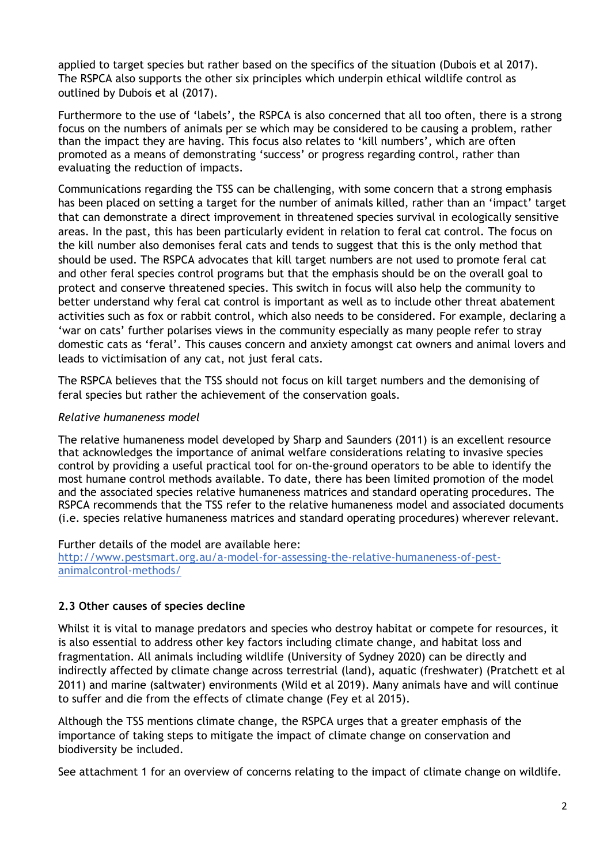applied to target species but rather based on the specifics of the situation (Dubois et al 2017). The RSPCA also supports the other six principles which underpin ethical wildlife control as outlined by Dubois et al (2017).

Furthermore to the use of 'labels', the RSPCA is also concerned that all too often, there is a strong focus on the numbers of animals per se which may be considered to be causing a problem, rather than the impact they are having. This focus also relates to 'kill numbers', which are often promoted as a means of demonstrating 'success' or progress regarding control, rather than evaluating the reduction of impacts.

Communications regarding the TSS can be challenging, with some concern that a strong emphasis has been placed on setting a target for the number of animals killed, rather than an 'impact' target that can demonstrate a direct improvement in threatened species survival in ecologically sensitive areas. In the past, this has been particularly evident in relation to feral cat control. The focus on the kill number also demonises feral cats and tends to suggest that this is the only method that should be used. The RSPCA advocates that kill target numbers are not used to promote feral cat and other feral species control programs but that the emphasis should be on the overall goal to protect and conserve threatened species. This switch in focus will also help the community to better understand why feral cat control is important as well as to include other threat abatement activities such as fox or rabbit control, which also needs to be considered. For example, declaring a 'war on cats' further polarises views in the community especially as many people refer to stray domestic cats as 'feral'. This causes concern and anxiety amongst cat owners and animal lovers and leads to victimisation of any cat, not just feral cats.

The RSPCA believes that the TSS should not focus on kill target numbers and the demonising of feral species but rather the achievement of the conservation goals.

#### *Relative humaneness model*

The relative humaneness model developed by Sharp and Saunders (2011) is an excellent resource that acknowledges the importance of animal welfare considerations relating to invasive species control by providing a useful practical tool for on-the-ground operators to be able to identify the most humane control methods available. To date, there has been limited promotion of the model and the associated species relative humaneness matrices and standard operating procedures. The RSPCA recommends that the TSS refer to the relative humaneness model and associated documents (i.e. species relative humaneness matrices and standard operating procedures) wherever relevant.

Further details of the model are available here: [http://www.pestsmart.org.au/a-model-for-assessing-the-relative-humaneness-of-pest](http://www.pestsmart.org.au/a-model-for-assessing-the-relative-humaneness-of-pest-animalcontrol-methods/)[animalcontrol-methods/](http://www.pestsmart.org.au/a-model-for-assessing-the-relative-humaneness-of-pest-animalcontrol-methods/)

#### **2.3 Other causes of species decline**

Whilst it is vital to manage predators and species who destroy habitat or compete for resources, it is also essential to address other key factors including climate change, and habitat loss and fragmentation. All animals including wildlife (University of Sydney 2020) can be directly and indirectly affected by climate change across terrestrial (land), aquatic (freshwater) (Pratchett et al 2011) and marine (saltwater) environments (Wild et al 2019). Many animals have and will continue to suffer and die from the effects of climate change (Fey et al 2015).

Although the TSS mentions climate change, the RSPCA urges that a greater emphasis of the importance of taking steps to mitigate the impact of climate change on conservation and biodiversity be included.

See attachment 1 for an overview of concerns relating to the impact of climate change on wildlife.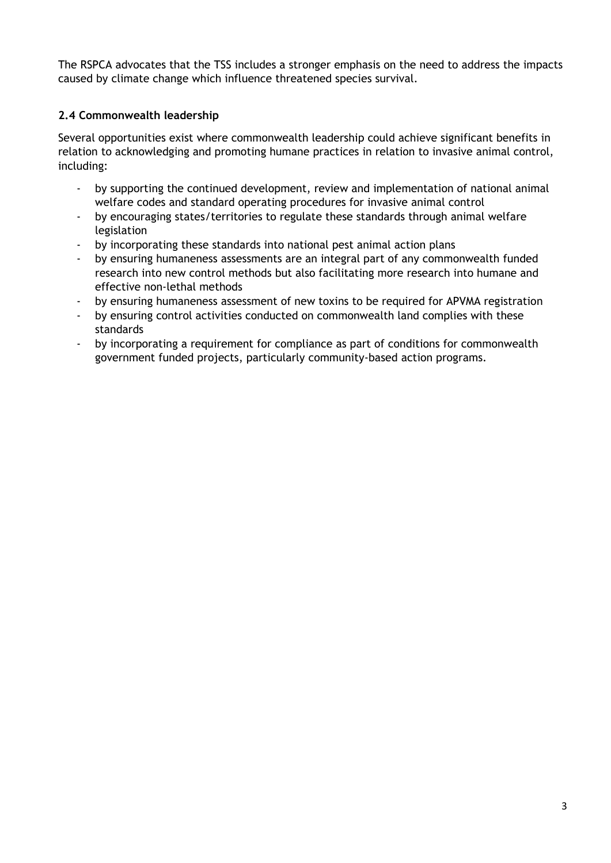The RSPCA advocates that the TSS includes a stronger emphasis on the need to address the impacts caused by climate change which influence threatened species survival.

## **2.4 Commonwealth leadership**

Several opportunities exist where commonwealth leadership could achieve significant benefits in relation to acknowledging and promoting humane practices in relation to invasive animal control, including:

- by supporting the continued development, review and implementation of national animal welfare codes and standard operating procedures for invasive animal control
- by encouraging states/territories to regulate these standards through animal welfare legislation
- by incorporating these standards into national pest animal action plans
- by ensuring humaneness assessments are an integral part of any commonwealth funded research into new control methods but also facilitating more research into humane and effective non-lethal methods
- by ensuring humaneness assessment of new toxins to be required for APVMA registration
- by ensuring control activities conducted on commonwealth land complies with these standards
- by incorporating a requirement for compliance as part of conditions for commonwealth government funded projects, particularly community-based action programs.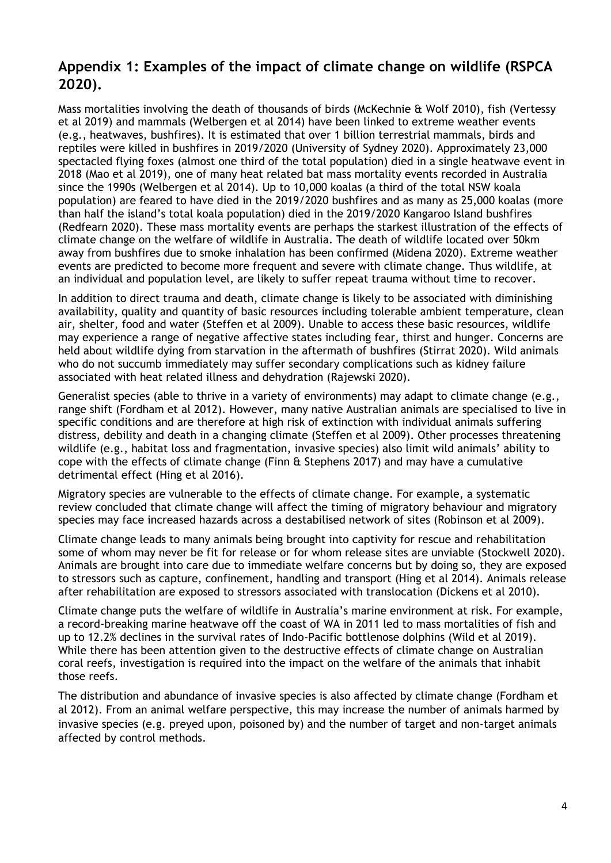# **Appendix 1: Examples of the impact of climate change on wildlife (RSPCA 2020).**

Mass mortalities involving the death of thousands of birds (McKechnie & Wolf 2010), fish (Vertessy et al 2019) and mammals (Welbergen et al 2014) have been linked to extreme weather events (e.g., heatwaves, bushfires). It is estimated that over 1 billion terrestrial mammals, birds and reptiles were killed in bushfires in 2019/2020 (University of Sydney 2020). Approximately 23,000 spectacled flying foxes (almost one third of the total population) died in a single heatwave event in 2018 (Mao et al 2019), one of many heat related bat mass mortality events recorded in Australia since the 1990s (Welbergen et al 2014). Up to 10,000 koalas (a third of the total NSW koala population) are feared to have died in the 2019/2020 bushfires and as many as 25,000 koalas (more than half the island's total koala population) died in the 2019/2020 Kangaroo Island bushfires (Redfearn 2020). These mass mortality events are perhaps the starkest illustration of the effects of climate change on the welfare of wildlife in Australia. The death of wildlife located over 50km away from bushfires due to smoke inhalation has been confirmed (Midena 2020). Extreme weather events are predicted to become more frequent and severe with climate change. Thus wildlife, at an individual and population level, are likely to suffer repeat trauma without time to recover.

In addition to direct trauma and death, climate change is likely to be associated with diminishing availability, quality and quantity of basic resources including tolerable ambient temperature, clean air, shelter, food and water (Steffen et al 2009). Unable to access these basic resources, wildlife may experience a range of negative affective states including fear, thirst and hunger. Concerns are held about wildlife dying from starvation in the aftermath of bushfires (Stirrat 2020). Wild animals who do not succumb immediately may suffer secondary complications such as kidney failure associated with heat related illness and dehydration (Rajewski 2020).

Generalist species (able to thrive in a variety of environments) may adapt to climate change (e.g., range shift (Fordham et al 2012). However, many native Australian animals are specialised to live in specific conditions and are therefore at high risk of extinction with individual animals suffering distress, debility and death in a changing climate (Steffen et al 2009). Other processes threatening wildlife (e.g., habitat loss and fragmentation, invasive species) also limit wild animals' ability to cope with the effects of climate change (Finn & Stephens 2017) and may have a cumulative detrimental effect (Hing et al 2016).

Migratory species are vulnerable to the effects of climate change. For example, a systematic review concluded that climate change will affect the timing of migratory behaviour and migratory species may face increased hazards across a destabilised network of sites (Robinson et al 2009).

Climate change leads to many animals being brought into captivity for rescue and rehabilitation some of whom may never be fit for release or for whom release sites are unviable (Stockwell 2020). Animals are brought into care due to immediate welfare concerns but by doing so, they are exposed to stressors such as capture, confinement, handling and transport (Hing et al 2014). Animals release after rehabilitation are exposed to stressors associated with translocation (Dickens et al 2010).

Climate change puts the welfare of wildlife in Australia's marine environment at risk. For example, a record-breaking marine heatwave off the coast of WA in 2011 led to mass mortalities of fish and up to 12.2% declines in the survival rates of Indo-Pacific bottlenose dolphins (Wild et al 2019). While there has been attention given to the destructive effects of climate change on Australian coral reefs, investigation is required into the impact on the welfare of the animals that inhabit those reefs.

The distribution and abundance of invasive species is also affected by climate change (Fordham et al 2012). From an animal welfare perspective, this may increase the number of animals harmed by invasive species (e.g. preyed upon, poisoned by) and the number of target and non-target animals affected by control methods.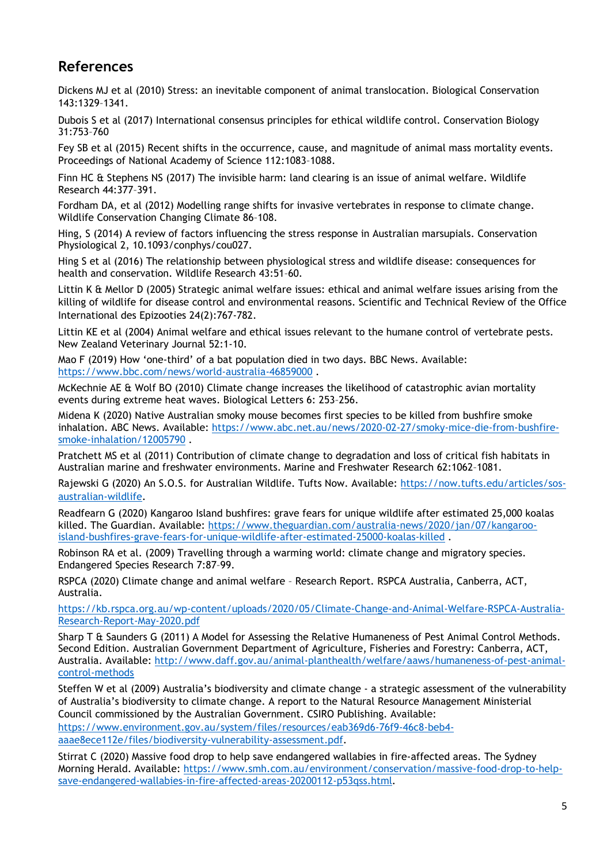# **References**

Dickens MJ et al (2010) Stress: an inevitable component of animal translocation. Biological Conservation 143:1329–1341.

Dubois S et al (2017) International consensus principles for ethical wildlife control. Conservation Biology 31:753–760

Fey SB et al (2015) Recent shifts in the occurrence, cause, and magnitude of animal mass mortality events. Proceedings of National Academy of Science 112:1083–1088.

Finn HC & Stephens NS (2017) The invisible harm: land clearing is an issue of animal welfare. Wildlife Research 44:377–391.

Fordham DA, et al (2012) Modelling range shifts for invasive vertebrates in response to climate change. Wildlife Conservation Changing Climate 86–108.

Hing, S (2014) A review of factors influencing the stress response in Australian marsupials. Conservation Physiological 2, 10.1093/conphys/cou027.

Hing S et al (2016) The relationship between physiological stress and wildlife disease: consequences for health and conservation. Wildlife Research 43:51–60.

Littin K & Mellor D (2005) Strategic animal welfare issues: ethical and animal welfare issues arising from the killing of wildlife for disease control and environmental reasons. Scientific and Technical Review of the Office International des Epizooties 24(2):767-782.

Littin KE et al (2004) Animal welfare and ethical issues relevant to the humane control of vertebrate pests. New Zealand Veterinary Journal 52:1-10.

Mao F (2019) How 'one-third' of a bat population died in two days. BBC News. Available: <https://www.bbc.com/news/world-australia-46859000> .

McKechnie AE & Wolf BO (2010) Climate change increases the likelihood of catastrophic avian mortality events during extreme heat waves. Biological Letters 6: 253–256.

Midena K (2020) Native Australian smoky mouse becomes first species to be killed from bushfire smoke inhalation. ABC News. Available: [https://www.abc.net.au/news/2020-02-27/smoky-mice-die-from-bushfire](https://www.abc.net.au/news/2020-02-27/smoky-mice-die-from-bushfire-smoke-inhalation/12005790)[smoke-inhalation/12005790](https://www.abc.net.au/news/2020-02-27/smoky-mice-die-from-bushfire-smoke-inhalation/12005790) .

Pratchett MS et al (2011) Contribution of climate change to degradation and loss of critical fish habitats in Australian marine and freshwater environments. Marine and Freshwater Research 62:1062–1081.

Rajewski G (2020) An S.O.S. for Australian Wildlife. Tufts Now. Available: [https://now.tufts.edu/articles/sos](https://now.tufts.edu/articles/sos-australian-wildlife)[australian-wildlife.](https://now.tufts.edu/articles/sos-australian-wildlife)

Readfearn G (2020) Kangaroo Island bushfires: grave fears for unique wildlife after estimated 25,000 koalas killed. The Guardian. Available: [https://www.theguardian.com/australia-news/2020/jan/07/kangaroo](https://www.theguardian.com/australia-news/2020/jan/07/kangaroo-island-bushfires-grave-fears-for-unique-wildlife-after-estimated-25000-koalas-killed)[island-bushfires-grave-fears-for-unique-wildlife-after-estimated-25000-koalas-killed](https://www.theguardian.com/australia-news/2020/jan/07/kangaroo-island-bushfires-grave-fears-for-unique-wildlife-after-estimated-25000-koalas-killed) .

Robinson RA et al. (2009) Travelling through a warming world: climate change and migratory species. Endangered Species Research 7:87–99.

RSPCA (2020) Climate change and animal welfare – Research Report. RSPCA Australia, Canberra, ACT, Australia.

[https://kb.rspca.org.au/wp-content/uploads/2020/05/Climate-Change-and-Animal-Welfare-RSPCA-Australia-](https://kb.rspca.org.au/wp-content/uploads/2020/05/Climate-Change-and-Animal-Welfare-RSPCA-Australia-Research-Report-May-2020.pdf)[Research-Report-May-2020.pdf](https://kb.rspca.org.au/wp-content/uploads/2020/05/Climate-Change-and-Animal-Welfare-RSPCA-Australia-Research-Report-May-2020.pdf)

Sharp T & Saunders G (2011) A Model for Assessing the Relative Humaneness of Pest Animal Control Methods. Second Edition. Australian Government Department of Agriculture, Fisheries and Forestry: Canberra, ACT, Australia. Available: [http://www.daff.gov.au/animal-planthealth/welfare/aaws/humaneness-of-pest-animal](http://www.daff.gov.au/animal-planthealth/welfare/aaws/humaneness-of-pest-animal-control-methods)[control-methods](http://www.daff.gov.au/animal-planthealth/welfare/aaws/humaneness-of-pest-animal-control-methods)

Steffen W et al (2009) Australia's biodiversity and climate change - a strategic assessment of the vulnerability of Australia's biodiversity to climate change. A report to the Natural Resource Management Ministerial Council commissioned by the Australian Government. CSIRO Publishing. Available:

[https://www.environment.gov.au/system/files/resources/eab369d6-76f9-46c8-beb4-](https://www.environment.gov.au/system/files/resources/eab369d6-76f9-46c8-beb4-aaae8ece112e/files/biodiversity-vulnerability-assessment.pdf)

[aaae8ece112e/files/biodiversity-vulnerability-assessment.pdf.](https://www.environment.gov.au/system/files/resources/eab369d6-76f9-46c8-beb4-aaae8ece112e/files/biodiversity-vulnerability-assessment.pdf)

Stirrat C (2020) Massive food drop to help save endangered wallabies in fire-affected areas. The Sydney Morning Herald. Available: [https://www.smh.com.au/environment/conservation/massive-food-drop-to-help](https://www.smh.com.au/environment/conservation/massive-food-drop-to-help-save-endangered-wallabies-in-fire-affected-areas-20200112-p53qss.html)[save-endangered-wallabies-in-fire-affected-areas-20200112-p53qss.html](https://www.smh.com.au/environment/conservation/massive-food-drop-to-help-save-endangered-wallabies-in-fire-affected-areas-20200112-p53qss.html)*.*